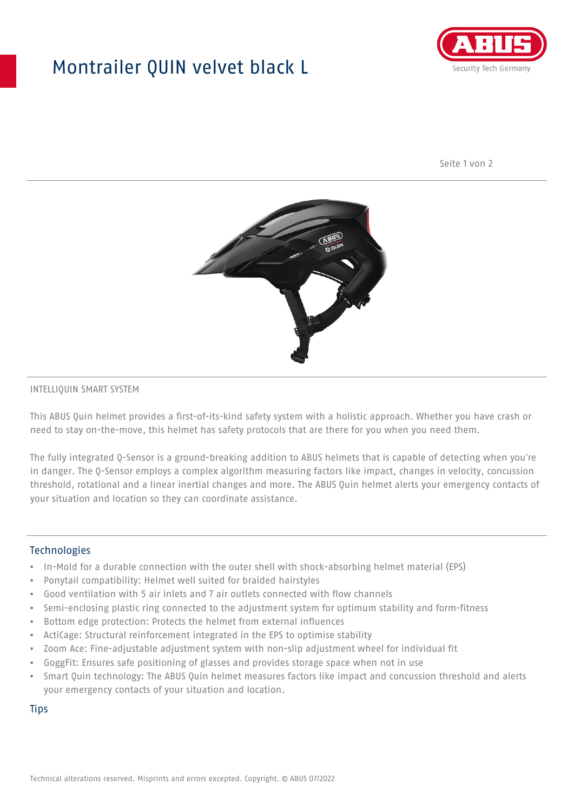## Montrailer QUIN velvet black L



Seite 1 von 2



## INTELLIQUIN SMART SYSTEM

This ABUS Quin helmet provides a first-of-its-kind safety system with a holistic approach. Whether you have crash or need to stay on-the-move, this helmet has safety protocols that are there for you when you need them.

The fully integrated Q-Sensor is a ground-breaking addition to ABUS helmets that is capable of detecting when you're in danger. The Q-Sensor employs a complex algorithm measuring factors like impact, changes in velocity, concussion threshold, rotational and a linear inertial changes and more. The ABUS Quin helmet alerts your emergency contacts of your situation and location so they can coordinate assistance.

## **Technologies**

- In-Mold for a durable connection with the outer shell with shock-absorbing helmet material (EPS)
- Ponytail compatibility: Helmet well suited for braided hairstyles
- Good ventilation with 5 air inlets and 7 air outlets connected with flow channels
- Semi-enclosing plastic ring connected to the adjustment system for optimum stability and form-fitness
- Bottom edge protection: Protects the helmet from external influences
- ActiCage: Structural reinforcement integrated in the EPS to optimise stability
- Zoom Ace: Fine-adjustable adjustment system with non-slip adjustment wheel for individual fit
- GoggFit: Ensures safe positioning of glasses and provides storage space when not in use
- Smart Quin technology: The ABUS Quin helmet measures factors like impact and concussion threshold and alerts your emergency contacts of your situation and location.

**Tips**